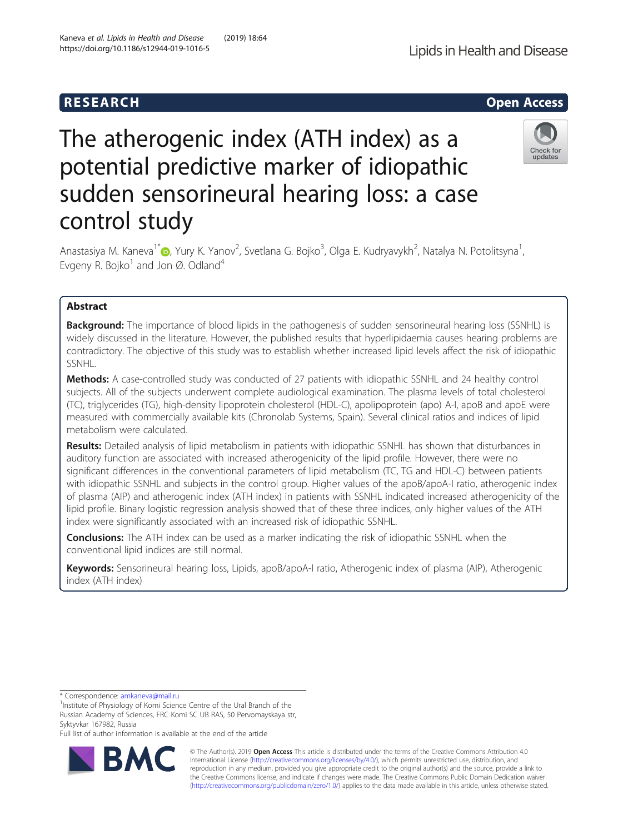# R E S EAR CH Open Access

# Lipids in Health and Disease

# The atherogenic index (ATH index) as a potential predictive marker of idiopathic sudden sensorineural hearing loss: a case control study



Anastasiya M. Kaneva<sup>1[\\*](http://orcid.org/0000-0002-7789-4300)</sup>�, Yury K. Yanov<sup>2</sup>, Svetlana G. Bojko<sup>3</sup>, Olga E. Kudryavykh<sup>2</sup>, Natalya N. Potolitsyna<sup>1</sup> , Evgeny R. Bojko<sup>1</sup> and Jon Ø. Odland<sup>4</sup>

# Abstract

**Background:** The importance of blood lipids in the pathogenesis of sudden sensorineural hearing loss (SSNHL) is widely discussed in the literature. However, the published results that hyperlipidaemia causes hearing problems are contradictory. The objective of this study was to establish whether increased lipid levels affect the risk of idiopathic SSNHL.

Methods: A case-controlled study was conducted of 27 patients with idiopathic SSNHL and 24 healthy control subjects. All of the subjects underwent complete audiological examination. The plasma levels of total cholesterol (TC), triglycerides (TG), high-density lipoprotein cholesterol (HDL-C), apolipoprotein (apo) A-I, apoB and apoE were measured with commercially available kits (Chronolab Systems, Spain). Several clinical ratios and indices of lipid metabolism were calculated.

Results: Detailed analysis of lipid metabolism in patients with idiopathic SSNHL has shown that disturbances in auditory function are associated with increased atherogenicity of the lipid profile. However, there were no significant differences in the conventional parameters of lipid metabolism (TC, TG and HDL-C) between patients with idiopathic SSNHL and subjects in the control group. Higher values of the apoB/apoA-I ratio, atherogenic index of plasma (AIP) and atherogenic index (ATH index) in patients with SSNHL indicated increased atherogenicity of the lipid profile. Binary logistic regression analysis showed that of these three indices, only higher values of the ATH index were significantly associated with an increased risk of idiopathic SSNHL.

**Conclusions:** The ATH index can be used as a marker indicating the risk of idiopathic SSNHL when the conventional lipid indices are still normal.

Keywords: Sensorineural hearing loss, Lipids, apoB/apoA-I ratio, Atherogenic index of plasma (AIP), Atherogenic index (ATH index)

\* Correspondence: [amkaneva@mail.ru](mailto:amkaneva@mail.ru) <sup>1</sup>

<sup>1</sup>Institute of Physiology of Komi Science Centre of the Ural Branch of the Russian Academy of Sciences, FRC Komi SC UB RAS, 50 Pervomayskaya str, Syktyvkar 167982, Russia

Full list of author information is available at the end of the article



© The Author(s). 2019 **Open Access** This article is distributed under the terms of the Creative Commons Attribution 4.0 International License [\(http://creativecommons.org/licenses/by/4.0/](http://creativecommons.org/licenses/by/4.0/)), which permits unrestricted use, distribution, and reproduction in any medium, provided you give appropriate credit to the original author(s) and the source, provide a link to the Creative Commons license, and indicate if changes were made. The Creative Commons Public Domain Dedication waiver [\(http://creativecommons.org/publicdomain/zero/1.0/](http://creativecommons.org/publicdomain/zero/1.0/)) applies to the data made available in this article, unless otherwise stated.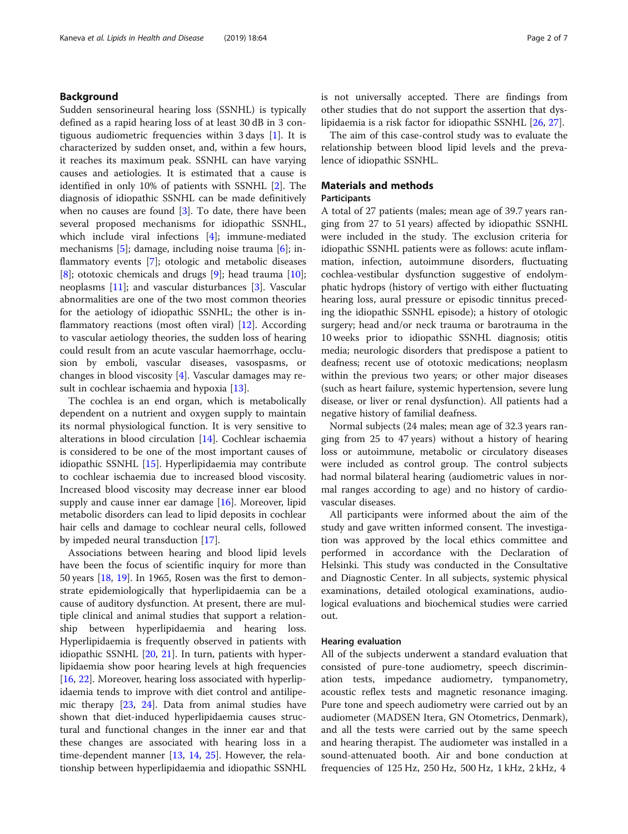# Background

Sudden sensorineural hearing loss (SSNHL) is typically defined as a rapid hearing loss of at least 30 dB in 3 contiguous audiometric frequencies within 3 days [\[1](#page-5-0)]. It is characterized by sudden onset, and, within a few hours, it reaches its maximum peak. SSNHL can have varying causes and aetiologies. It is estimated that a cause is identified in only 10% of patients with SSNHL [\[2](#page-5-0)]. The diagnosis of idiopathic SSNHL can be made definitively when no causes are found [[3\]](#page-5-0). To date, there have been several proposed mechanisms for idiopathic SSNHL, which include viral infections [\[4](#page-6-0)]; immune-mediated mechanisms  $[5]$  $[5]$ ; damage, including noise trauma  $[6]$  $[6]$ ; inflammatory events [[7\]](#page-6-0); otologic and metabolic diseases [[8\]](#page-6-0); ototoxic chemicals and drugs [[9\]](#page-6-0); head trauma [\[10](#page-6-0)]; neoplasms [[11\]](#page-6-0); and vascular disturbances [\[3](#page-5-0)]. Vascular abnormalities are one of the two most common theories for the aetiology of idiopathic SSNHL; the other is inflammatory reactions (most often viral) [\[12\]](#page-6-0). According to vascular aetiology theories, the sudden loss of hearing could result from an acute vascular haemorrhage, occlusion by emboli, vascular diseases, vasospasms, or changes in blood viscosity [[4\]](#page-6-0). Vascular damages may re-sult in cochlear ischaemia and hypoxia [\[13](#page-6-0)].

The cochlea is an end organ, which is metabolically dependent on a nutrient and oxygen supply to maintain its normal physiological function. It is very sensitive to alterations in blood circulation [[14](#page-6-0)]. Cochlear ischaemia is considered to be one of the most important causes of idiopathic SSNHL [\[15\]](#page-6-0). Hyperlipidaemia may contribute to cochlear ischaemia due to increased blood viscosity. Increased blood viscosity may decrease inner ear blood supply and cause inner ear damage [\[16\]](#page-6-0). Moreover, lipid metabolic disorders can lead to lipid deposits in cochlear hair cells and damage to cochlear neural cells, followed by impeded neural transduction [[17\]](#page-6-0).

Associations between hearing and blood lipid levels have been the focus of scientific inquiry for more than 50 years [\[18](#page-6-0), [19](#page-6-0)]. In 1965, Rosen was the first to demonstrate epidemiologically that hyperlipidaemia can be a cause of auditory dysfunction. At present, there are multiple clinical and animal studies that support a relationship between hyperlipidaemia and hearing loss. Hyperlipidaemia is frequently observed in patients with idiopathic SSNHL [[20,](#page-6-0) [21](#page-6-0)]. In turn, patients with hyperlipidaemia show poor hearing levels at high frequencies [[16,](#page-6-0) [22\]](#page-6-0). Moreover, hearing loss associated with hyperlipidaemia tends to improve with diet control and antilipemic therapy [[23,](#page-6-0) [24](#page-6-0)]. Data from animal studies have shown that diet-induced hyperlipidaemia causes structural and functional changes in the inner ear and that these changes are associated with hearing loss in a time-dependent manner [[13](#page-6-0), [14,](#page-6-0) [25\]](#page-6-0). However, the relationship between hyperlipidaemia and idiopathic SSNHL is not universally accepted. There are findings from other studies that do not support the assertion that dyslipidaemia is a risk factor for idiopathic SSNHL [\[26](#page-6-0), [27](#page-6-0)].

The aim of this case-control study was to evaluate the relationship between blood lipid levels and the prevalence of idiopathic SSNHL.

# Materials and methods

# Participants

A total of 27 patients (males; mean age of 39.7 years ranging from 27 to 51 years) affected by idiopathic SSNHL were included in the study. The exclusion criteria for idiopathic SSNHL patients were as follows: acute inflammation, infection, autoimmune disorders, fluctuating cochlea-vestibular dysfunction suggestive of endolymphatic hydrops (history of vertigo with either fluctuating hearing loss, aural pressure or episodic tinnitus preceding the idiopathic SSNHL episode); a history of otologic surgery; head and/or neck trauma or barotrauma in the 10 weeks prior to idiopathic SSNHL diagnosis; otitis media; neurologic disorders that predispose a patient to deafness; recent use of ototoxic medications; neoplasm within the previous two years; or other major diseases (such as heart failure, systemic hypertension, severe lung disease, or liver or renal dysfunction). All patients had a negative history of familial deafness.

Normal subjects (24 males; mean age of 32.3 years ranging from 25 to 47 years) without a history of hearing loss or autoimmune, metabolic or circulatory diseases were included as control group. The control subjects had normal bilateral hearing (audiometric values in normal ranges according to age) and no history of cardiovascular diseases.

All participants were informed about the aim of the study and gave written informed consent. The investigation was approved by the local ethics committee and performed in accordance with the Declaration of Helsinki. This study was conducted in the Consultative and Diagnostic Center. In all subjects, systemic physical examinations, detailed otological examinations, audiological evaluations and biochemical studies were carried out.

#### Hearing evaluation

All of the subjects underwent a standard evaluation that consisted of pure-tone audiometry, speech discrimination tests, impedance audiometry, tympanometry, acoustic reflex tests and magnetic resonance imaging. Pure tone and speech audiometry were carried out by an audiometer (MADSEN Itera, GN Otometrics, Denmark), and all the tests were carried out by the same speech and hearing therapist. The audiometer was installed in a sound-attenuated booth. Air and bone conduction at frequencies of 125 Hz, 250 Hz, 500 Hz, 1 kHz, 2 kHz, 4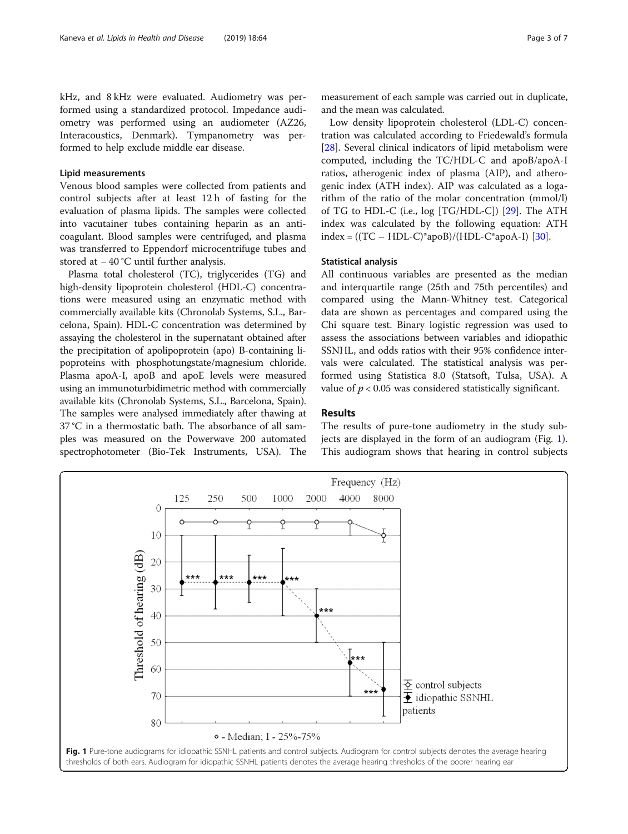formed to help exclude middle ear disease.

## Lipid measurements

Venous blood samples were collected from patients and control subjects after at least 12 h of fasting for the evaluation of plasma lipids. The samples were collected into vacutainer tubes containing heparin as an anticoagulant. Blood samples were centrifuged, and plasma was transferred to Eppendorf microcentrifuge tubes and stored at − 40 °C until further analysis.

Plasma total cholesterol (TC), triglycerides (TG) and high-density lipoprotein cholesterol (HDL-C) concentrations were measured using an enzymatic method with commercially available kits (Chronolab Systems, S.L., Barcelona, Spain). HDL-C concentration was determined by assaying the cholesterol in the supernatant obtained after the precipitation of apolipoprotein (apo) B-containing lipoproteins with phosphotungstate/magnesium chloride. Plasma apoA-I, apoB and apoE levels were measured using an immunoturbidimetric method with commercially available kits (Chronolab Systems, S.L., Barcelona, Spain). The samples were analysed immediately after thawing at 37 °C in a thermostatic bath. The absorbance of all samples was measured on the Powerwave 200 automated spectrophotometer (Bio-Tek Instruments, USA). The

measurement of each sample was carried out in duplicate, and the mean was calculated.

Low density lipoprotein cholesterol (LDL-C) concentration was calculated according to Friedewald's formula [[28\]](#page-6-0). Several clinical indicators of lipid metabolism were computed, including the TC/HDL-C and apoB/apoA-I ratios, atherogenic index of plasma (AIP), and atherogenic index (ATH index). AIP was calculated as a logarithm of the ratio of the molar concentration (mmol/l) of TG to HDL-C (i.e., log [TG/HDL-C]) [[29](#page-6-0)]. The ATH index was calculated by the following equation: ATH index =  $((TC - HDL-C)*apoB)/(HDL-C*apoA-I)$  [[30](#page-6-0)].

## Statistical analysis

All continuous variables are presented as the median and interquartile range (25th and 75th percentiles) and compared using the Mann-Whitney test. Categorical data are shown as percentages and compared using the Chi square test. Binary logistic regression was used to assess the associations between variables and idiopathic SSNHL, and odds ratios with their 95% confidence intervals were calculated. The statistical analysis was performed using Statistica 8.0 (Statsoft, Tulsa, USA). A value of  $p < 0.05$  was considered statistically significant.

## Results

The results of pure-tone audiometry in the study subjects are displayed in the form of an audiogram (Fig. 1). This audiogram shows that hearing in control subjects

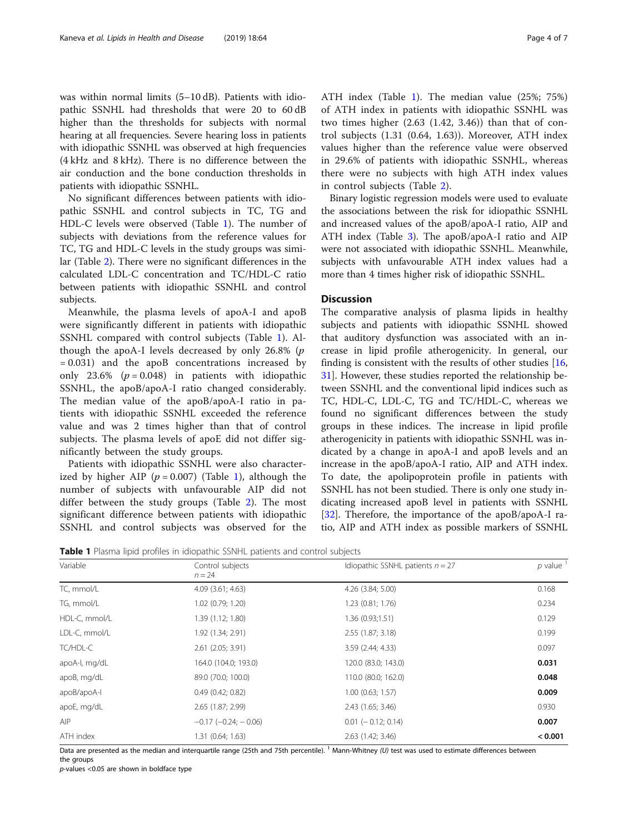was within normal limits (5–10 dB). Patients with idiopathic SSNHL had thresholds that were 20 to 60 dB higher than the thresholds for subjects with normal hearing at all frequencies. Severe hearing loss in patients with idiopathic SSNHL was observed at high frequencies (4 kHz and 8 kHz). There is no difference between the air conduction and the bone conduction thresholds in patients with idiopathic SSNHL.

No significant differences between patients with idiopathic SSNHL and control subjects in TC, TG and HDL-C levels were observed (Table 1). The number of subjects with deviations from the reference values for TC, TG and HDL-C levels in the study groups was similar (Table [2\)](#page-4-0). There were no significant differences in the calculated LDL-C concentration and TC/HDL-C ratio between patients with idiopathic SSNHL and control subjects.

Meanwhile, the plasma levels of apoA-I and apoB were significantly different in patients with idiopathic SSNHL compared with control subjects (Table 1). Although the apoA-I levels decreased by only 26.8% (p = 0.031) and the apoB concentrations increased by only 23.6% ( $p = 0.048$ ) in patients with idiopathic SSNHL, the apoB/apoA-I ratio changed considerably. The median value of the apoB/apoA-I ratio in patients with idiopathic SSNHL exceeded the reference value and was 2 times higher than that of control subjects. The plasma levels of apoE did not differ significantly between the study groups.

Patients with idiopathic SSNHL were also characterized by higher AIP ( $p = 0.007$ ) (Table 1), although the number of subjects with unfavourable AIP did not differ between the study groups (Table [2](#page-4-0)). The most significant difference between patients with idiopathic SSNHL and control subjects was observed for the ATH index (Table 1). The median value (25%; 75%) of ATH index in patients with idiopathic SSNHL was two times higher (2.63 (1.42, 3.46)) than that of control subjects (1.31 (0.64, 1.63)). Moreover, ATH index values higher than the reference value were observed in 29.6% of patients with idiopathic SSNHL, whereas there were no subjects with high ATH index values in control subjects (Table [2\)](#page-4-0).

Binary logistic regression models were used to evaluate the associations between the risk for idiopathic SSNHL and increased values of the apoB/apoA-I ratio, AIP and ATH index (Table [3\)](#page-4-0). The apoB/apoA-I ratio and AIP were not associated with idiopathic SSNHL. Meanwhile, subjects with unfavourable ATH index values had a more than 4 times higher risk of idiopathic SSNHL.

# **Discussion**

The comparative analysis of plasma lipids in healthy subjects and patients with idiopathic SSNHL showed that auditory dysfunction was associated with an increase in lipid profile atherogenicity. In general, our finding is consistent with the results of other studies  $[16,$  $[16,$  $[16,$ [31\]](#page-6-0). However, these studies reported the relationship between SSNHL and the conventional lipid indices such as TC, HDL-C, LDL-C, TG and TC/HDL-C, whereas we found no significant differences between the study groups in these indices. The increase in lipid profile atherogenicity in patients with idiopathic SSNHL was indicated by a change in apoA-I and apoB levels and an increase in the apoB/apoA-I ratio, AIP and ATH index. To date, the apolipoprotein profile in patients with SSNHL has not been studied. There is only one study indicating increased apoB level in patients with SSNHL [[32\]](#page-6-0). Therefore, the importance of the apoB/apoA-I ratio, AIP and ATH index as possible markers of SSNHL

Table 1 Plasma lipid profiles in idiopathic SSNHL patients and control subjects

| Variable      | Control subjects<br>$n = 24$  | Idiopathic SSNHL patients $n = 27$ | $p$ value $1$ |
|---------------|-------------------------------|------------------------------------|---------------|
| TC, mmol/L    | $4.09$ $(3.61; 4.63)$         | 4.26 (3.84; 5.00)                  | 0.168         |
| TG, mmol/L    | 1.02 (0.79; 1.20)             | 1.23(0.81; 1.76)                   | 0.234         |
| HDL-C, mmol/L | 1.39 (1.12; 1.80)             | 1.36(0.93;1.51)                    | 0.129         |
| LDL-C, mmol/L | 1.92 (1.34; 2.91)             | 2.55 (1.87; 3.18)                  | 0.199         |
| TC/HDL-C      | 2.61 (2.05; 3.91)             | 3.59 (2.44; 4.33)                  | 0.097         |
| apoA-I, mg/dL | 164.0 (104.0; 193.0)          | 120.0 (83.0; 143.0)                | 0.031         |
| apoB, mg/dL   | 89.0 (70.0; 100.0)            | 110.0 (80.0; 162.0)                | 0.048         |
| apoB/apoA-l   | 0.49(0.42; 0.82)              | $1.00$ (0.63; 1.57)                | 0.009         |
| apoE, mg/dL   | 2.65 (1.87; 2.99)             | 2.43 (1.65; 3.46)                  | 0.930         |
| <b>AIP</b>    | $-0.17$ ( $-0.24$ ; $-0.06$ ) | $0.01$ (- 0.12; 0.14)              | 0.007         |
| ATH index     | 1.31(0.64; 1.63)              | 2.63(1.42; 3.46)                   | < 0.001       |

Data are presented as the median and interquartile range (25th and 75th percentile). <sup>1</sup> Mann-Whitney (U) test was used to estimate differences between the groups

p-values <0.05 are shown in boldface type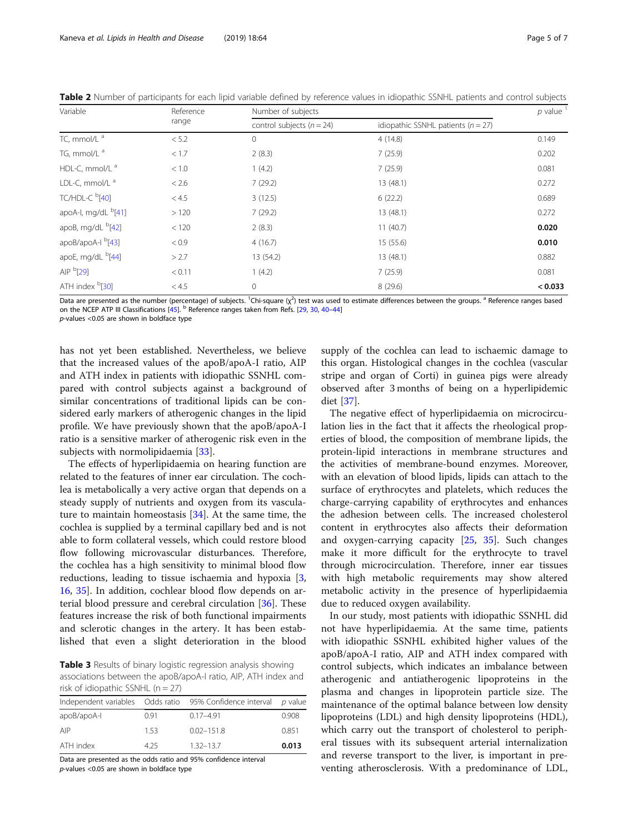<span id="page-4-0"></span>

|  |  |  |  | Table 2 Number of participants for each lipid variable defined by reference values in idiopathic SSNHL patients and control subiects |  |  |  |
|--|--|--|--|--------------------------------------------------------------------------------------------------------------------------------------|--|--|--|
|--|--|--|--|--------------------------------------------------------------------------------------------------------------------------------------|--|--|--|

| Variable                        | Reference<br>range | Number of subjects            |                                                                                                                                                                                                    | $p$ value $1$ |
|---------------------------------|--------------------|-------------------------------|----------------------------------------------------------------------------------------------------------------------------------------------------------------------------------------------------|---------------|
|                                 |                    | control subjects ( $n = 24$ ) | idiopathic SSNHL patients $(n = 27)$                                                                                                                                                               |               |
| TC, mmol/L <sup>a</sup>         | < 5.2              | $\mathbf{0}$                  | 4(14.8)                                                                                                                                                                                            | 0.149         |
| TG, mmol/L <sup>a</sup>         | < 1.7              | 2(8.3)                        | 7(25.9)                                                                                                                                                                                            | 0.202         |
| HDL-C, mmol/L <sup>a</sup>      | < 1.0              | 1(4.2)                        | 7(25.9)                                                                                                                                                                                            | 0.081         |
| LDL-C, mmol/L <sup>a</sup>      | < 2.6              | 7(29.2)                       | 13 (48.1)                                                                                                                                                                                          | 0.272         |
| TC/HDL-C <sup>b</sup> [40]      | < 4.5              | 3(12.5)                       | 6(22.2)                                                                                                                                                                                            | 0.689         |
| apoA-I, mg/dL <sup>b</sup> [41] | >120               | 7(29.2)                       | 13 (48.1)                                                                                                                                                                                          | 0.272         |
| apoB, mg/dL <sup>b</sup> [42]   | < 120              | 2(8.3)                        | 11(40.7)                                                                                                                                                                                           | 0.020         |
| apoB/apoA-I <sup>b</sup> [43]   | < 0.9              | 4(16.7)                       | 15(55.6)                                                                                                                                                                                           | 0.010         |
| apoE, mg/dL <sup>b</sup> [44]   | > 2.7              | 13 (54.2)                     | 13 (48.1)                                                                                                                                                                                          | 0.882         |
| AIP $b$ <sup>[29]</sup>         | < 0.11             | 1(4.2)                        | 7(25.9)                                                                                                                                                                                            | 0.081         |
| ATH index <sup>b</sup> [30]     | < 4.5              | 0                             | 8(29.6)                                                                                                                                                                                            | < 0.033       |
|                                 |                    |                               | Data are precepted as the number (perceptage) of subjects $\frac{1}{2}$ (bi-square (x <sup>2</sup> ) test was used to estimate differences between the groups $\frac{1}{2}$ Reference ranges based |               |

Data are presented as the number (percentage) of subjects. <sup>1</sup>Chi-square ( $\chi^2$ ) test was used to estimate differences between the groups. <sup>a</sup> Reference ranges based on the NCEP ATP III Classifications [\[45](#page-6-0)]. <sup>b</sup> Reference ranges taken from Refs. [[29,](#page-6-0) [30](#page-6-0), [40](#page-6-0)–[44\]](#page-6-0)

has not yet been established. Nevertheless, we believe that the increased values of the apoB/apoA-I ratio, AIP and ATH index in patients with idiopathic SSNHL compared with control subjects against a background of similar concentrations of traditional lipids can be considered early markers of atherogenic changes in the lipid profile. We have previously shown that the apoB/apoA-I ratio is a sensitive marker of atherogenic risk even in the subjects with normolipidaemia [[33\]](#page-6-0).

The effects of hyperlipidaemia on hearing function are related to the features of inner ear circulation. The cochlea is metabolically a very active organ that depends on a steady supply of nutrients and oxygen from its vasculature to maintain homeostasis [[34\]](#page-6-0). At the same time, the cochlea is supplied by a terminal capillary bed and is not able to form collateral vessels, which could restore blood flow following microvascular disturbances. Therefore, the cochlea has a high sensitivity to minimal blood flow reductions, leading to tissue ischaemia and hypoxia [\[3](#page-5-0), [16,](#page-6-0) [35](#page-6-0)]. In addition, cochlear blood flow depends on arterial blood pressure and cerebral circulation [[36\]](#page-6-0). These features increase the risk of both functional impairments and sclerotic changes in the artery. It has been established that even a slight deterioration in the blood

Table 3 Results of binary logistic regression analysis showing associations between the apoB/apoA-I ratio, AIP, ATH index and risk of idiopathic SSNHL  $(n = 27)$ 

|             |      | Independent variables Odds ratio 95% Confidence interval p value |       |
|-------------|------|------------------------------------------------------------------|-------|
| apoB/apoA-l | 0.91 | $0.17 - 4.91$                                                    | 0.908 |
| AIP         | 153  | $0.02 - 151.8$                                                   | 0.851 |
| ATH index   | 425  | $1.32 - 13.7$                                                    | 0.013 |

Data are presented as the odds ratio and 95% confidence interval p-values <0.05 are shown in boldface type

supply of the cochlea can lead to ischaemic damage to this organ. Histological changes in the cochlea (vascular stripe and organ of Corti) in guinea pigs were already observed after 3 months of being on a hyperlipidemic diet [\[37\]](#page-6-0).

The negative effect of hyperlipidaemia on microcirculation lies in the fact that it affects the rheological properties of blood, the composition of membrane lipids, the protein-lipid interactions in membrane structures and the activities of membrane-bound enzymes. Moreover, with an elevation of blood lipids, lipids can attach to the surface of erythrocytes and platelets, which reduces the charge-carrying capability of erythrocytes and enhances the adhesion between cells. The increased cholesterol content in erythrocytes also affects their deformation and oxygen-carrying capacity [\[25](#page-6-0), [35](#page-6-0)]. Such changes make it more difficult for the erythrocyte to travel through microcirculation. Therefore, inner ear tissues with high metabolic requirements may show altered metabolic activity in the presence of hyperlipidaemia due to reduced oxygen availability.

In our study, most patients with idiopathic SSNHL did not have hyperlipidaemia. At the same time, patients with idiopathic SSNHL exhibited higher values of the apoB/apoA-I ratio, AIP and ATH index compared with control subjects, which indicates an imbalance between atherogenic and antiatherogenic lipoproteins in the plasma and changes in lipoprotein particle size. The maintenance of the optimal balance between low density lipoproteins (LDL) and high density lipoproteins (HDL), which carry out the transport of cholesterol to peripheral tissues with its subsequent arterial internalization and reverse transport to the liver, is important in preventing atherosclerosis. With a predominance of LDL,

p-values <0.05 are shown in boldface type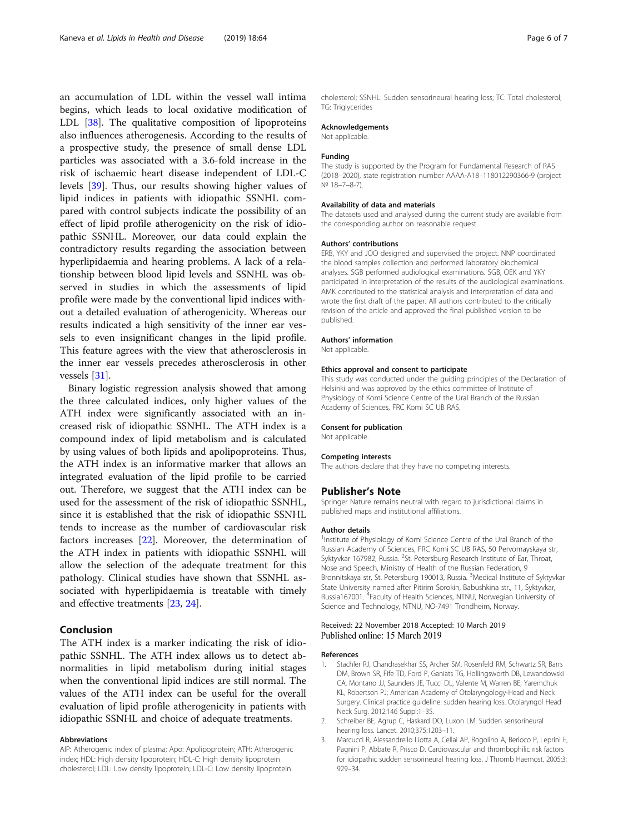<span id="page-5-0"></span>an accumulation of LDL within the vessel wall intima begins, which leads to local oxidative modification of LDL [\[38](#page-6-0)]. The qualitative composition of lipoproteins also influences atherogenesis. According to the results of a prospective study, the presence of small dense LDL particles was associated with a 3.6-fold increase in the risk of ischaemic heart disease independent of LDL-C levels [[39](#page-6-0)]. Thus, our results showing higher values of lipid indices in patients with idiopathic SSNHL compared with control subjects indicate the possibility of an effect of lipid profile atherogenicity on the risk of idiopathic SSNHL. Moreover, our data could explain the contradictory results regarding the association between hyperlipidaemia and hearing problems. A lack of a relationship between blood lipid levels and SSNHL was observed in studies in which the assessments of lipid profile were made by the conventional lipid indices without a detailed evaluation of atherogenicity. Whereas our results indicated a high sensitivity of the inner ear vessels to even insignificant changes in the lipid profile. This feature agrees with the view that atherosclerosis in the inner ear vessels precedes atherosclerosis in other vessels [\[31\]](#page-6-0).

Binary logistic regression analysis showed that among the three calculated indices, only higher values of the ATH index were significantly associated with an increased risk of idiopathic SSNHL. The ATH index is a compound index of lipid metabolism and is calculated by using values of both lipids and apolipoproteins. Thus, the ATH index is an informative marker that allows an integrated evaluation of the lipid profile to be carried out. Therefore, we suggest that the ATH index can be used for the assessment of the risk of idiopathic SSNHL, since it is established that the risk of idiopathic SSNHL tends to increase as the number of cardiovascular risk factors increases [[22](#page-6-0)]. Moreover, the determination of the ATH index in patients with idiopathic SSNHL will allow the selection of the adequate treatment for this pathology. Clinical studies have shown that SSNHL associated with hyperlipidaemia is treatable with timely and effective treatments [\[23](#page-6-0), [24\]](#page-6-0).

# Conclusion

The ATH index is a marker indicating the risk of idiopathic SSNHL. The ATH index allows us to detect abnormalities in lipid metabolism during initial stages when the conventional lipid indices are still normal. The values of the ATH index can be useful for the overall evaluation of lipid profile atherogenicity in patients with idiopathic SSNHL and choice of adequate treatments.

#### Abbreviations

AIP: Atherogenic index of plasma; Apo: Apolipoprotein; ATH: Atherogenic index; HDL: High density lipoprotein; HDL-C: High density lipoprotein cholesterol; LDL: Low density lipoprotein; LDL-C: Low density lipoprotein

cholesterol; SSNHL: Sudden sensorineural hearing loss; TC: Total cholesterol; TG: Triglycerides

#### Acknowledgements

Not applicable.

#### Funding

The study is supported by the Program for Fundamental Research of RAS (2018–2020), state registration number АААА-А18–118012290366-9 (project № 18–7–8-7).

#### Availability of data and materials

The datasets used and analysed during the current study are available from the corresponding author on reasonable request.

#### Authors' contributions

ERB, YKY and JOO designed and supervised the project. NNP coordinated the blood samples collection and performed laboratory biochemical analyses. SGB performed audiological examinations. SGB, OEK and YKY participated in interpretation of the results of the audiological examinations. AMK contributed to the statistical analysis and interpretation of data and wrote the first draft of the paper. All authors contributed to the critically revision of the article and approved the final published version to be published.

#### Authors' information

Not applicable.

#### Ethics approval and consent to participate

This study was conducted under the guiding principles of the Declaration of Helsinki and was approved by the ethics committee of Institute of Physiology of Коmi Science Centre of the Ural Branch of the Russian Academy of Sciences, FRC Komi SC UB RAS.

#### Consent for publication

Not applicable.

#### Competing interests

The authors declare that they have no competing interests.

#### Publisher's Note

Springer Nature remains neutral with regard to jurisdictional claims in published maps and institutional affiliations.

#### Author details

<sup>1</sup>Institute of Physiology of Komi Science Centre of the Ural Branch of the Russian Academy of Sciences, FRC Komi SC UB RAS, 50 Pervomayskaya str, Syktyvkar 167982, Russia. <sup>2</sup>St. Petersburg Research Institute of Ear, Throat, Nose and Speech, Ministry of Health of the Russian Federation, 9 Bronnitskaya str, St. Petersburg 190013, Russia. <sup>3</sup>Medical Institute of Syktyvkar State University named after Pitirim Sorokin, Babushkina str., 11, Syktyvkar, Russia167001. <sup>4</sup>Faculty of Health Sciences, NTNU, Norwegian University of Science and Technology, NTNU, NO-7491 Trondheim, Norway.

# Received: 22 November 2018 Accepted: 10 March 2019

#### References

- Stachler RJ, Chandrasekhar SS, Archer SM, Rosenfeld RM, Schwartz SR, Barrs DM, Brown SR, Fife TD, Ford P, Ganiats TG, Hollingsworth DB, Lewandowski CA, Montano JJ, Saunders JE, Tucci DL, Valente M, Warren BE, Yaremchuk KL, Robertson PJ; American Academy of Otolaryngology-Head and Neck Surgery. Clinical practice guideline: sudden hearing loss. Otolaryngol Head Neck Surg. 2012;146 Suppl:1–35.
- 2. Schreiber BE, Agrup C, Haskard DO, Luxon LM. Sudden sensorineural hearing loss. Lancet. 2010;375:1203–11.
- 3. Marcucci R, Alessandrello Liotta A, Cellai AP, Rogolino A, Berloco P, Leprini E, Pagnini P, Abbate R, Prisco D. Cardiovascular and thrombophilic risk factors for idiopathic sudden sensorineural hearing loss. J Thromb Haemost. 2005;3: 929–34.